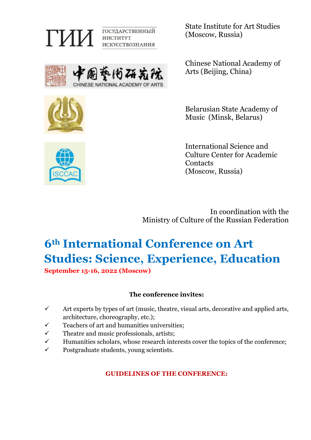

State Institute for Art Studies (Moscow, Russia)





Chinese National Academy of Arts (Beijing, China)

Belarusian State Academy of Music (Minsk, Belarus)

International Science and Culture Center for Academic **Contacts** (Moscow, Russia)

In coordination with the Ministry of Culture of the Russian Federation

# **6th International Conference on Art Studies: Science, Experience, Education September 15-16, 2022 (Moscow)**

**The conference invites:**

- $\checkmark$  Art experts by types of art (music, theatre, visual arts, decorative and applied arts, architecture, choreography, etc.);
- $\checkmark$  Teachers of art and humanities universities;
- $\checkmark$  Theatre and music professionals, artists;
- $\checkmark$  Humanities scholars, whose research interests cover the topics of the conference;
- $\checkmark$  Postgraduate students, young scientists.

**GUIDELINES OF THE CONFERENCE:**

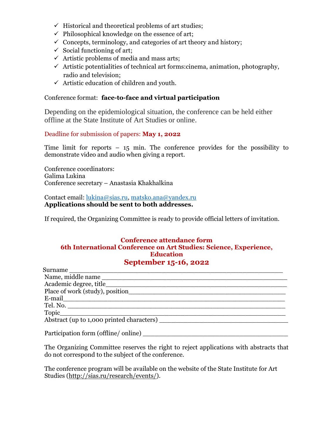- $\checkmark$  Historical and theoretical problems of art studies;
- $\checkmark$  Philosophical knowledge on the essence of art;
- $\checkmark$  Concepts, terminology, and categories of art theory and history;
- $\checkmark$  Social functioning of art;
- $\checkmark$  Artistic problems of media and mass arts;
- $\checkmark$  Artistic potentialities of technical art forms: cinema, animation, photography, radio and television;
- $\checkmark$  Artistic education of children and youth.

#### Conference format: **face-to-face and virtual participation**

Depending on the epidemiological situation, the conference can be held either offline at the State Institute of Art Studies or online.

#### Deadline for submission of papers: **May 1, 2022**

Time limit for reports – 15 min. The conference provides for the possibility to demonstrate video and audio when giving a report.

Conference coordinators: Galima Lukina Conference secretary – Anastasia Khakhalkina

Contact email: [lukina@sias.ru,](mailto:lukina@sias.ru) [matsko.ana@yandex.ru](mailto:matsko.ana@yandex.ru) **Applications should be sent to both addresses.**

If required, the Organizing Committee is ready to provide official letters of invitation.

#### **Conference attendance form 6th International Conference on Art Studies: Science, Experience, Education September 15-16, 2022**

| Surname                                   |
|-------------------------------------------|
| Name, middle name                         |
| Academic degree, title                    |
| Place of work (study), position           |
|                                           |
| Tel. No.                                  |
| Topic                                     |
| Abstract (up to 1,000 printed characters) |
|                                           |
| Participation form (offline/ online)      |

The Organizing Committee reserves the right to reject applications with abstracts that do not correspond to the subject of the conference.

The conference program will be available on the website of the State Institute for Art Studies [\(http://sias.ru/research/events/\)](http://sias.ru/research/events/).